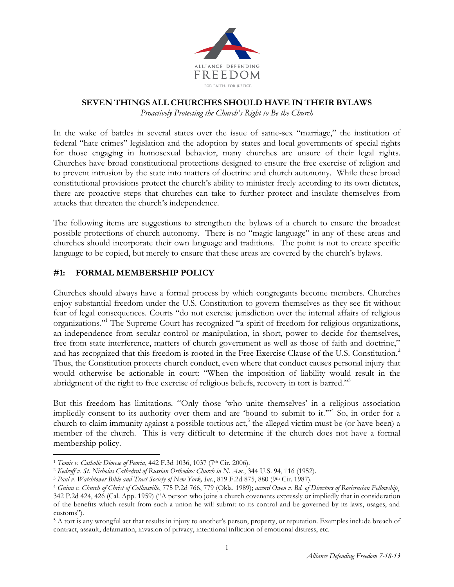

#### **SEVEN THINGS ALL CHURCHES SHOULD HAVE IN THEIR BYLAWS**

*Proactively Protecting the Church's Right to Be the Church*

In the wake of battles in several states over the issue of same-sex "marriage," the institution of federal "hate crimes" legislation and the adoption by states and local governments of special rights for those engaging in homosexual behavior, many churches are unsure of their legal rights. Churches have broad constitutional protections designed to ensure the free exercise of religion and to prevent intrusion by the state into matters of doctrine and church autonomy. While these broad constitutional provisions protect the church's ability to minister freely according to its own dictates, there are proactive steps that churches can take to further protect and insulate themselves from attacks that threaten the church's independence.

The following items are suggestions to strengthen the bylaws of a church to ensure the broadest possible protections of church autonomy. There is no "magic language" in any of these areas and churches should incorporate their own language and traditions. The point is not to create specific language to be copied, but merely to ensure that these areas are covered by the church's bylaws.

#### **#1: FORMAL MEMBERSHIP POLICY**

Churches should always have a formal process by which congregants become members. Churches enjoy substantial freedom under the U.S. Constitution to govern themselves as they see fit without fear of legal consequences. Courts "do not exercise jurisdiction over the internal affairs of religious organizations."<sup>1</sup> The Supreme Court has recognized "a spirit of freedom for religious organizations, an independence from secular control or manipulation, in short, power to decide for themselves, free from state interference, matters of church government as well as those of faith and doctrine," and has recognized that this freedom is rooted in the Free Exercise Clause of the U.S. Constitution.<sup>2</sup> Thus, the Constitution protects church conduct, even where that conduct causes personal injury that would otherwise be actionable in court: "When the imposition of liability would result in the abridgment of the right to free exercise of religious beliefs, recovery in tort is barred."<sup>3</sup>

But this freedom has limitations. "Only those 'who unite themselves' in a religious association impliedly consent to its authority over them and are 'bound to submit to it.'"<sup>4</sup> So, in order for a church to claim immunity against a possible tortious act,<sup>5</sup> the alleged victim must be (or have been) a member of the church. This is very difficult to determine if the church does not have a formal membership policy.

 $\overline{a}$ <sup>1</sup> *Tomic v. Catholic Diocese of Peoria*, 442 F.3d 1036, 1037 (7<sup>th</sup> Cir. 2006).

<sup>2</sup> *Kedroff v. St. Nicholas Cathedral of Russian Orthodox Church in N. Am.*, 344 U.S. 94, 116 (1952).

<sup>&</sup>lt;sup>3</sup> Paul v. Watchtower Bible and Tract Society of New York, Inc., 819 F.2d 875, 880 (9th Cir. 1987).

<sup>4</sup> *Guinn v. Church of Christ of Collinsville*, 775 P.2d 766, 779 (Okla. 1989); *accord Owen v. Bd. of Directors of Rosicrucian Fellowship*¸ 342 P.2d 424, 426 (Cal. App. 1959) ("A person who joins a church covenants expressly or impliedly that in consideration of the benefits which result from such a union he will submit to its control and be governed by its laws, usages, and customs").

<sup>5</sup> A tort is any wrongful act that results in injury to another's person, property, or reputation. Examples include breach of contract, assault, defamation, invasion of privacy, intentional infliction of emotional distress, etc.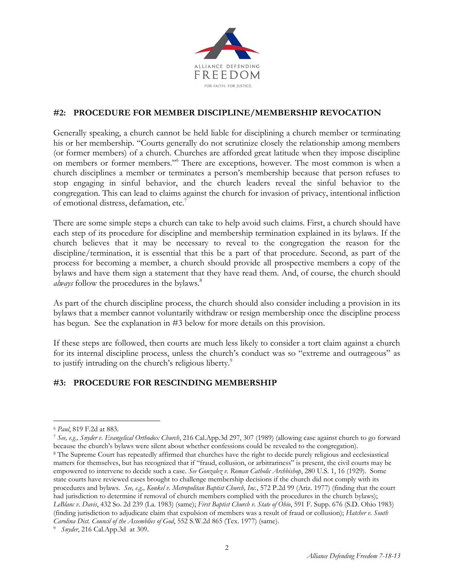

## **#2: PROCEDURE FOR MEMBER DISCIPLINE/MEMBERSHIP REVOCATION**

Generally speaking, a church cannot be held liable for disciplining a church member or terminating his or her membership. "Courts generally do not scrutinize closely the relationship among members (or former members) of a church. Churches are afforded great latitude when they impose discipline on members or former members."<sup>6</sup> There are exceptions, however. The most common is when a church disciplines a member or terminates a person's membership because that person refuses to stop engaging in sinful behavior, and the church leaders reveal the sinful behavior to the congregation. This can lead to claims against the church for invasion of privacy, intentional infliction of emotional distress, defamation, etc.<sup>7</sup>

There are some simple steps a church can take to help avoid such claims. First, a church should have each step of its procedure for discipline and membership termination explained in its bylaws. If the church believes that it may be necessary to reveal to the congregation the reason for the discipline/termination, it is essential that this be a part of that procedure. Second, as part of the process for becoming a member, a church should provide all prospective members a copy of the bylaws and have them sign a statement that they have read them. And, of course, the church should *always* follow the procedures in the bylaws.<sup>8</sup>

As part of the church discipline process, the church should also consider including a provision in its bylaws that a member cannot voluntarily withdraw or resign membership once the discipline process has begun. See the explanation in #3 below for more details on this provision.

If these steps are followed, then courts are much less likely to consider a tort claim against a church for its internal discipline process, unless the church's conduct was so "extreme and outrageous" as to justify intruding on the church's religious liberty.<sup>9</sup>

# **#3: PROCEDURE FOR RESCINDING MEMBERSHIP**

 $\overline{a}$ <sup>6</sup> *Paul*, 819 F.2d at 883.

<sup>7</sup> *See, e.g., Snyder v. Evangelical Orthodox Church*, 216 Cal.App.3d 297, 307 (1989) (allowing case against church to go forward because the church's bylaws were silent about whether confessions could be revealed to the congregation).

<sup>8</sup> The Supreme Court has repeatedly affirmed that churches have the right to decide purely religious and ecclesiastical matters for themselves, but has recognized that if "fraud, collusion, or arbitrariness" is present, the civil courts may be empowered to intervene to decide such a case. *See Gonzalez v. Roman Catholic Archbishop*, 280 U.S. 1, 16 (1929). Some state courts have reviewed cases brought to challenge membership decisions if the church did not comply with its procedures and bylaws. *See, e.g., Konkel v. Metropolitan Baptist Church, Inc.*, 572 P.2d 99 (Ariz. 1977) (finding that the court had jurisdiction to determine if removal of church members complied with the procedures in the church bylaws); *LeBlanc v. Davis*, 432 So. 2d 239 (La. 1983) (same); *First Baptist Church v. State of Ohio*, 591 F. Supp. 676 (S.D. Ohio 1983) (finding jurisdiction to adjudicate claim that expulsion of members was a result of fraud or collusion); *Hatcher v. South Carolina Dist. Council of the Assemblies of God*, 552 S.W.2d 865 (Tex. 1977) (same).

<sup>9</sup>  *Snyder*, 216 Cal.App.3d at 309.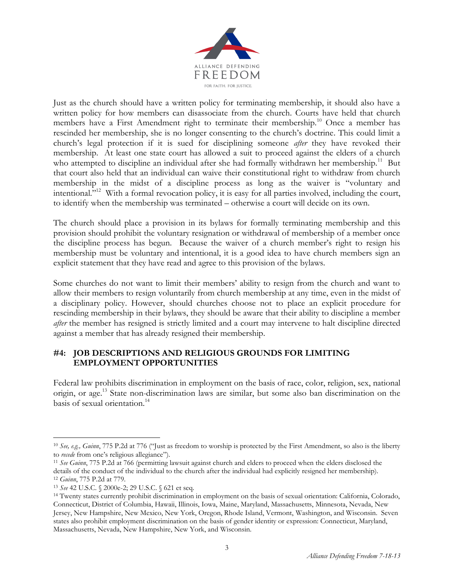

Just as the church should have a written policy for terminating membership, it should also have a written policy for how members can disassociate from the church. Courts have held that church members have a First Amendment right to terminate their membership.<sup>10</sup> Once a member has rescinded her membership, she is no longer consenting to the church's doctrine. This could limit a church's legal protection if it is sued for disciplining someone *after* they have revoked their membership. At least one state court has allowed a suit to proceed against the elders of a church who attempted to discipline an individual after she had formally withdrawn her membership.<sup>11</sup> But that court also held that an individual can waive their constitutional right to withdraw from church membership in the midst of a discipline process as long as the waiver is "voluntary and intentional."<sup>12</sup> With a formal revocation policy, it is easy for all parties involved, including the court, to identify when the membership was terminated – otherwise a court will decide on its own.

The church should place a provision in its bylaws for formally terminating membership and this provision should prohibit the voluntary resignation or withdrawal of membership of a member once the discipline process has begun. Because the waiver of a church member's right to resign his membership must be voluntary and intentional, it is a good idea to have church members sign an explicit statement that they have read and agree to this provision of the bylaws.

Some churches do not want to limit their members' ability to resign from the church and want to allow their members to resign voluntarily from church membership at any time, even in the midst of a disciplinary policy. However, should churches choose not to place an explicit procedure for rescinding membership in their bylaws, they should be aware that their ability to discipline a member *after* the member has resigned is strictly limited and a court may intervene to halt discipline directed against a member that has already resigned their membership.

## **#4: JOB DESCRIPTIONS AND RELIGIOUS GROUNDS FOR LIMITING EMPLOYMENT OPPORTUNITIES**

Federal law prohibits discrimination in employment on the basis of race, color, religion, sex, national origin, or age. <sup>13</sup> State non-discrimination laws are similar, but some also ban discrimination on the basis of sexual orientation.<sup>14</sup>

 $\overline{a}$ 

<sup>10</sup> *See, e.g., Guinn*, 775 P.2d at 776 ("Just as freedom to worship is protected by the First Amendment, so also is the liberty to *recede* from one's religious allegiance").

<sup>11</sup> *See Guinn*, 775 P.2d at 766 (permitting lawsuit against church and elders to proceed when the elders disclosed the details of the conduct of the individual to the church after the individual had explicitly resigned her membership). <sup>12</sup> *Guinn*, 775 P.2d at 779.

<sup>13</sup> *See* 42 U.S.C. § 2000e-2; 29 U.S.C. § 621 et seq.

<sup>14</sup> Twenty states currently prohibit discrimination in employment on the basis of sexual orientation: California, Colorado, Connecticut, District of Columbia, Hawaii, Illinois, Iowa, Maine, Maryland, Massachusetts, Minnesota, Nevada, New Jersey, New Hampshire, New Mexico, New York, Oregon, Rhode Island, Vermont, Washington, and Wisconsin. Seven states also prohibit employment discrimination on the basis of gender identity or expression: Connecticut, Maryland, Massachusetts, Nevada, New Hampshire, New York, and Wisconsin.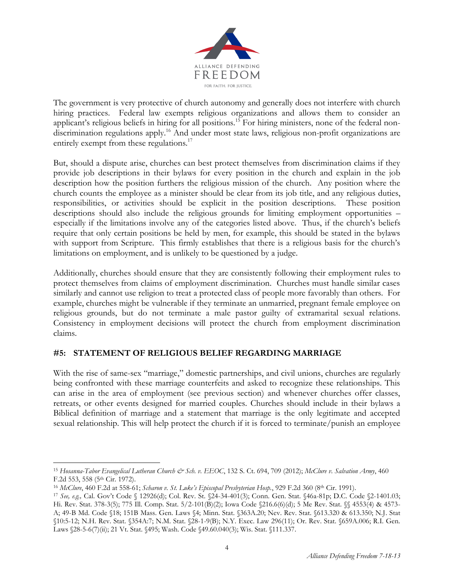

The government is very protective of church autonomy and generally does not interfere with church hiring practices. Federal law exempts religious organizations and allows them to consider an applicant's religious beliefs in hiring for all positions.<sup>15</sup> For hiring ministers, none of the federal nondiscrimination regulations apply.<sup>16</sup> And under most state laws, religious non-profit organizations are entirely exempt from these regulations.<sup>17</sup>

But, should a dispute arise, churches can best protect themselves from discrimination claims if they provide job descriptions in their bylaws for every position in the church and explain in the job description how the position furthers the religious mission of the church. Any position where the church counts the employee as a minister should be clear from its job title, and any religious duties, responsibilities, or activities should be explicit in the position descriptions. These position descriptions should also include the religious grounds for limiting employment opportunities – especially if the limitations involve any of the categories listed above. Thus, if the church's beliefs require that only certain positions be held by men, for example, this should be stated in the bylaws with support from Scripture. This firmly establishes that there is a religious basis for the church's limitations on employment, and is unlikely to be questioned by a judge.

Additionally, churches should ensure that they are consistently following their employment rules to protect themselves from claims of employment discrimination. Churches must handle similar cases similarly and cannot use religion to treat a protected class of people more favorably than others. For example, churches might be vulnerable if they terminate an unmarried, pregnant female employee on religious grounds, but do not terminate a male pastor guilty of extramarital sexual relations. Consistency in employment decisions will protect the church from employment discrimination claims.

# **#5: STATEMENT OF RELIGIOUS BELIEF REGARDING MARRIAGE**

With the rise of same-sex "marriage," domestic partnerships, and civil unions, churches are regularly being confronted with these marriage counterfeits and asked to recognize these relationships. This can arise in the area of employment (see previous section) and whenever churches offer classes, retreats, or other events designed for married couples. Churches should include in their bylaws a Biblical definition of marriage and a statement that marriage is the only legitimate and accepted sexual relationship. This will help protect the church if it is forced to terminate/punish an employee

 $\overline{a}$ 

<sup>15</sup> *Hosanna-Tabor Evangelical Lutheran Church & Sch. v. EEOC*, 132 S. Ct. 694, 709 (2012); *McClure v. Salvation Army*, 460 F.2d 553, 558 (5<sup>th</sup> Cir. 1972).

<sup>16</sup> *McClure*, 460 F.2d at 558-61; *Scharon v. St. Luke's Episcopal Presbyterian Hosp.*, 929 F.2d 360 (8th Cir. 1991).

<sup>17</sup> *See, e.g.,* Cal. Gov't Code § 12926(d); Col. Rev. St. §24-34-401(3); Conn. Gen. Stat. §46a-81p; D.C. Code §2-1401.03; Hi. Rev. Stat. 378-3(5); 775 Ill. Comp. Stat. 5/2-101(B)(2); Iowa Code §216.6(6)(d); 5 Me Rev. Stat. §§ 4553(4) & 4573- A; 49-B Md. Code §18; 151B Mass. Gen. Laws §4; Minn. Stat. §363A.20; Nev. Rev. Stat. §613.320 & 613.350; N.J. Stat §10:5-12; N.H. Rev. Stat. §354A:7; N.M. Stat. §28-1-9(B); N.Y. Exec. Law 296(11); Or. Rev. Stat. §659A.006; R.I. Gen. Laws §28-5-6(7)(ii); 21 Vt. Stat. §495; Wash. Code §49.60.040(3); Wis. Stat. §111.337.